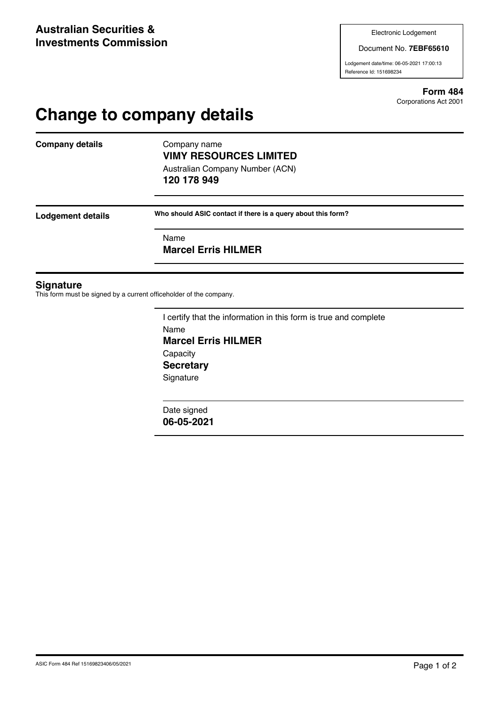Document No. **7EBF65610**

Lodgement date/time: 06-05-2021 17:00:13 Reference Id: 151698234

> **Form 484** Corporations Act 2001

# **Change to company details**

**Company details** Company name

## **VIMY RESOURCES LIMITED** Australian Company Number (ACN)

**120 178 949**

**Lodgement details Who should ASIC contact if there is a query about this form?**

Name

**Marcel Erris HILMER**

#### **Signature**

This form must be signed by a current officeholder of the company.

I certify that the information in this form is true and complete Name **Marcel Erris HILMER Capacity Secretary Signature** 

Date signed **06-05-2021**